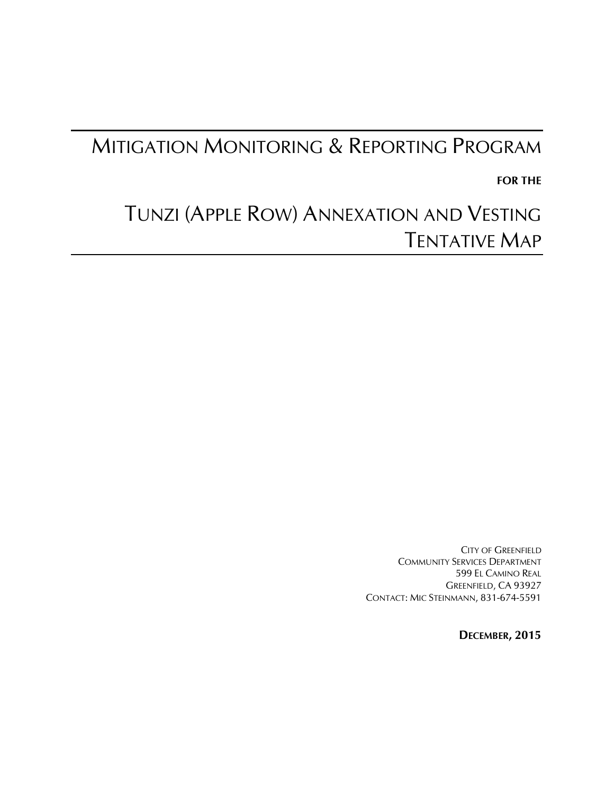## MITIGATION MONITORING & REPORTING PROGRAM

**FOR THE** 

# TUNZI (APPLE ROW) ANNEXATION AND VESTING TENTATIVE MAP

CITY OF GREENFIELD COMMUNITY SERVICES DEPARTMENT 599 EL CAMINO REAL GREENFIELD, CA 93927 CONTACT: MIC STEINMANN, 831-674-5591

**DECEMBER, 2015**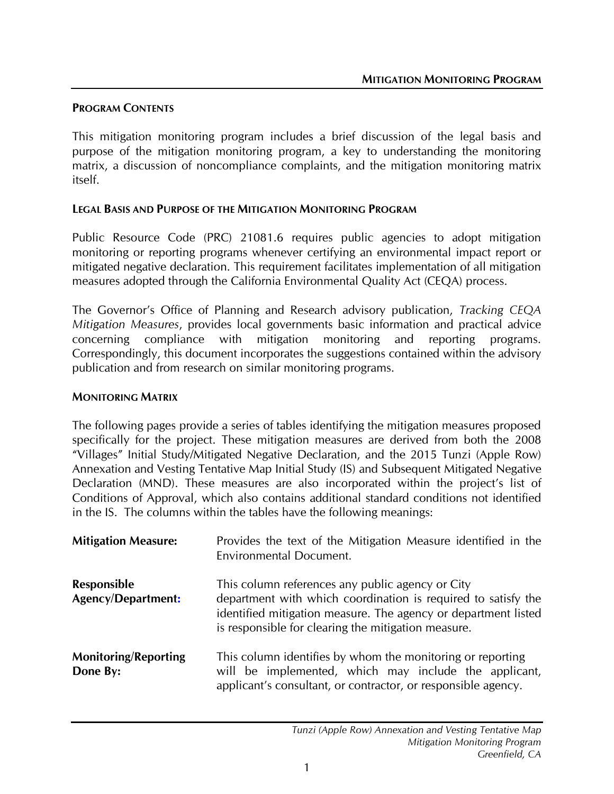#### **PROGRAM CONTENTS**

This mitigation monitoring program includes a brief discussion of the legal basis and purpose of the mitigation monitoring program, a key to understanding the monitoring matrix, a discussion of noncompliance complaints, and the mitigation monitoring matrix itself.

#### **LEGAL BASIS AND PURPOSE OF THE MITIGATION MONITORING PROGRAM**

Public Resource Code (PRC) 21081.6 requires public agencies to adopt mitigation monitoring or reporting programs whenever certifying an environmental impact report or mitigated negative declaration. This requirement facilitates implementation of all mitigation measures adopted through the California Environmental Quality Act (CEQA) process.

The Governor's Office of Planning and Research advisory publication, *Tracking CEQA Mitigation Measures*, provides local governments basic information and practical advice concerning compliance with mitigation monitoring and reporting programs. Correspondingly, this document incorporates the suggestions contained within the advisory publication and from research on similar monitoring programs.

#### **MONITORING MATRIX**

The following pages provide a series of tables identifying the mitigation measures proposed specifically for the project. These mitigation measures are derived from both the 2008 "Villages" Initial Study/Mitigated Negative Declaration, and the 2015 Tunzi (Apple Row) Annexation and Vesting Tentative Map Initial Study (IS) and Subsequent Mitigated Negative Declaration (MND). These measures are also incorporated within the project's list of Conditions of Approval, which also contains additional standard conditions not identified in the IS. The columns within the tables have the following meanings:

| <b>Mitigation Measure:</b>                      | Provides the text of the Mitigation Measure identified in the<br><b>Environmental Document.</b>                                                                                                                                            |
|-------------------------------------------------|--------------------------------------------------------------------------------------------------------------------------------------------------------------------------------------------------------------------------------------------|
| <b>Responsible</b><br><b>Agency/Department:</b> | This column references any public agency or City<br>department with which coordination is required to satisfy the<br>identified mitigation measure. The agency or department listed<br>is responsible for clearing the mitigation measure. |
| <b>Monitoring/Reporting</b><br>Done By:         | This column identifies by whom the monitoring or reporting<br>will be implemented, which may include the applicant,<br>applicant's consultant, or contractor, or responsible agency.                                                       |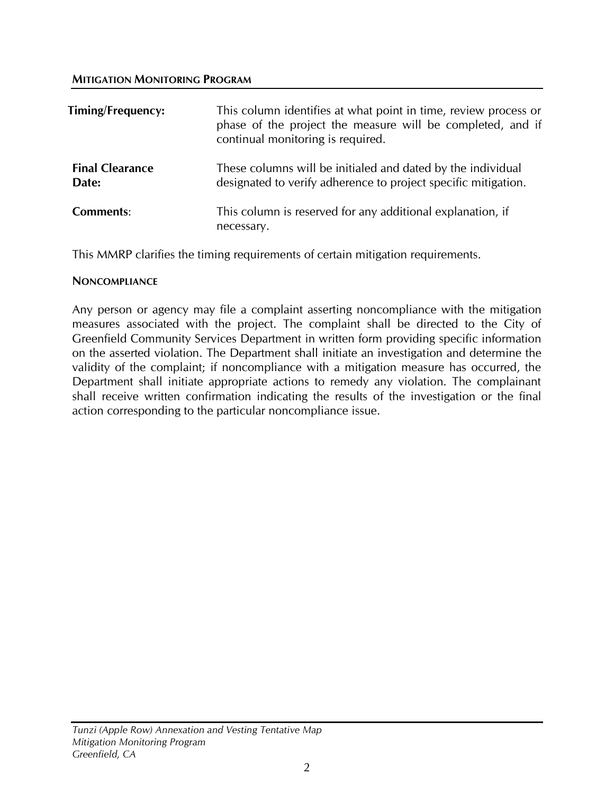| Timing/Frequency:               | This column identifies at what point in time, review process or<br>phase of the project the measure will be completed, and if<br>continual monitoring is required. |
|---------------------------------|--------------------------------------------------------------------------------------------------------------------------------------------------------------------|
| <b>Final Clearance</b><br>Date: | These columns will be initialed and dated by the individual<br>designated to verify adherence to project specific mitigation.                                      |
| Comments:                       | This column is reserved for any additional explanation, if<br>necessary.                                                                                           |

This MMRP clarifies the timing requirements of certain mitigation requirements.

#### **NONCOMPLIANCE**

Any person or agency may file a complaint asserting noncompliance with the mitigation measures associated with the project. The complaint shall be directed to the City of Greenfield Community Services Department in written form providing specific information on the asserted violation. The Department shall initiate an investigation and determine the validity of the complaint; if noncompliance with a mitigation measure has occurred, the Department shall initiate appropriate actions to remedy any violation. The complainant shall receive written confirmation indicating the results of the investigation or the final action corresponding to the particular noncompliance issue.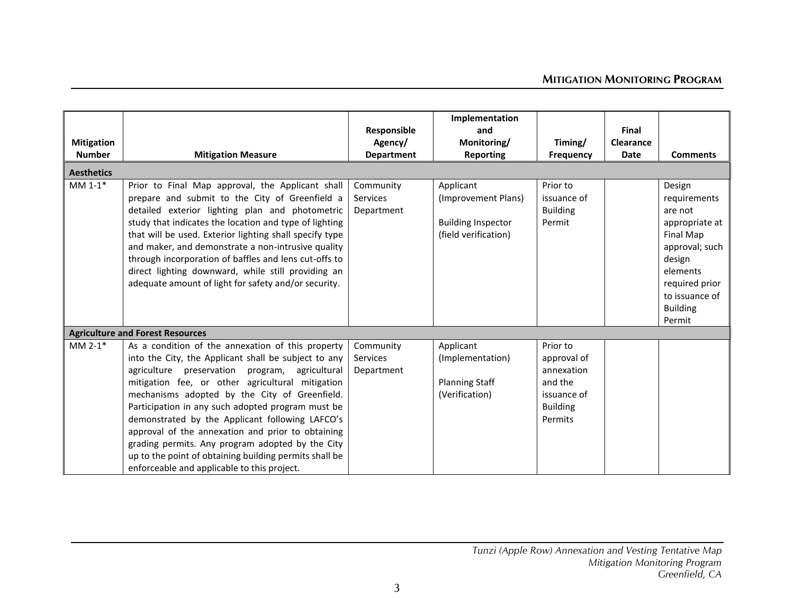|                       |                                                                                                           |                   | Implementation            |                  |             |                             |
|-----------------------|-----------------------------------------------------------------------------------------------------------|-------------------|---------------------------|------------------|-------------|-----------------------------|
|                       |                                                                                                           | Responsible       | and                       |                  | Final       |                             |
| <b>Mitigation</b>     |                                                                                                           | Agency/           | Monitoring/               | Timing/          | Clearance   |                             |
| <b>Number</b>         | <b>Mitigation Measure</b>                                                                                 | <b>Department</b> | <b>Reporting</b>          | <b>Frequency</b> | <b>Date</b> | <b>Comments</b>             |
| <b>Aesthetics</b>     |                                                                                                           |                   |                           |                  |             |                             |
| $MM 1-1*$             | Prior to Final Map approval, the Applicant shall                                                          | Community         | Applicant                 | Prior to         |             | Design                      |
|                       | prepare and submit to the City of Greenfield a                                                            | Services          | (Improvement Plans)       | issuance of      |             |                             |
|                       |                                                                                                           | Department        |                           | <b>Building</b>  |             | requirements<br>are not     |
|                       | detailed exterior lighting plan and photometric<br>study that indicates the location and type of lighting |                   | <b>Building Inspector</b> | Permit           |             |                             |
|                       | that will be used. Exterior lighting shall specify type                                                   |                   | (field verification)      |                  |             | appropriate at<br>Final Map |
|                       | and maker, and demonstrate a non-intrusive quality                                                        |                   |                           |                  |             | approval; such              |
|                       | through incorporation of baffles and lens cut-offs to                                                     |                   |                           |                  |             | design                      |
|                       | direct lighting downward, while still providing an                                                        |                   |                           |                  |             | elements                    |
|                       | adequate amount of light for safety and/or security.                                                      |                   |                           |                  |             | required prior              |
|                       |                                                                                                           |                   |                           |                  |             | to issuance of              |
|                       |                                                                                                           |                   |                           |                  |             |                             |
|                       |                                                                                                           |                   |                           |                  |             | <b>Building</b><br>Permit   |
|                       | <b>Agriculture and Forest Resources</b>                                                                   |                   |                           |                  |             |                             |
| MM $2-1$ <sup>*</sup> |                                                                                                           |                   |                           |                  |             |                             |
|                       | As a condition of the annexation of this property                                                         | Community         | Applicant                 | Prior to         |             |                             |
|                       | into the City, the Applicant shall be subject to any                                                      | Services          | (Implementation)          | approval of      |             |                             |
|                       | agriculture preservation program, agricultural                                                            | Department        |                           | annexation       |             |                             |
|                       | mitigation fee, or other agricultural mitigation                                                          |                   | <b>Planning Staff</b>     | and the          |             |                             |
|                       | mechanisms adopted by the City of Greenfield.                                                             |                   | (Verification)            | issuance of      |             |                             |
|                       | Participation in any such adopted program must be                                                         |                   |                           | <b>Building</b>  |             |                             |
|                       | demonstrated by the Applicant following LAFCO's                                                           |                   |                           | Permits          |             |                             |
|                       | approval of the annexation and prior to obtaining                                                         |                   |                           |                  |             |                             |
|                       | grading permits. Any program adopted by the City                                                          |                   |                           |                  |             |                             |
|                       | up to the point of obtaining building permits shall be                                                    |                   |                           |                  |             |                             |
|                       | enforceable and applicable to this project.                                                               |                   |                           |                  |             |                             |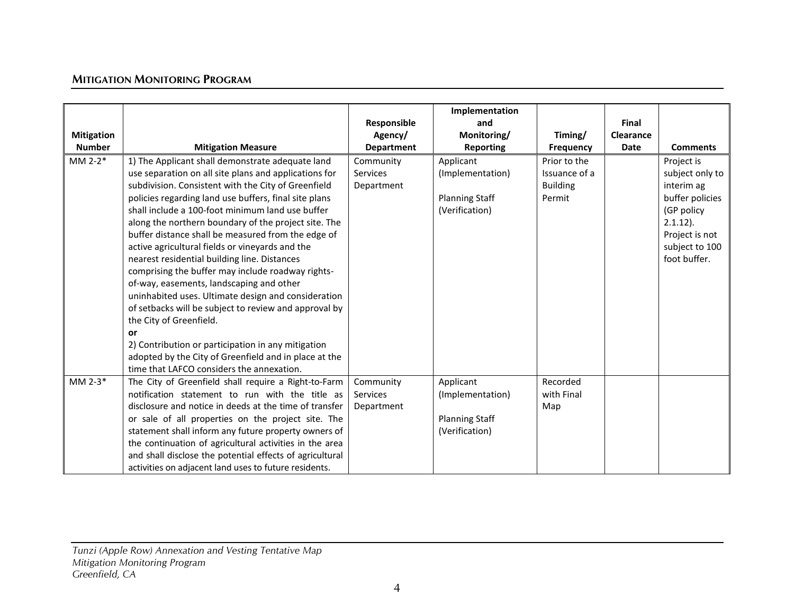|                   |                                                                                                 |                        | Implementation        |                             |                           |                 |
|-------------------|-------------------------------------------------------------------------------------------------|------------------------|-----------------------|-----------------------------|---------------------------|-----------------|
| <b>Mitigation</b> |                                                                                                 | Responsible<br>Agency/ | and<br>Monitoring/    |                             | Final<br><b>Clearance</b> |                 |
| <b>Number</b>     | <b>Mitigation Measure</b>                                                                       | <b>Department</b>      | <b>Reporting</b>      | Timing/<br><b>Frequency</b> | <b>Date</b>               | <b>Comments</b> |
| $MM 2-2*$         | 1) The Applicant shall demonstrate adequate land                                                | Community              | Applicant             | Prior to the                |                           | Project is      |
|                   | use separation on all site plans and applications for                                           | <b>Services</b>        | (Implementation)      | Issuance of a               |                           | subject only to |
|                   | subdivision. Consistent with the City of Greenfield                                             | Department             |                       | <b>Building</b>             |                           | interim ag      |
|                   | policies regarding land use buffers, final site plans                                           |                        | <b>Planning Staff</b> | Permit                      |                           | buffer policies |
|                   | shall include a 100-foot minimum land use buffer                                                |                        | (Verification)        |                             |                           | (GP policy      |
|                   | along the northern boundary of the project site. The                                            |                        |                       |                             |                           | $2.1.12$ ).     |
|                   | buffer distance shall be measured from the edge of                                              |                        |                       |                             |                           | Project is not  |
|                   | active agricultural fields or vineyards and the                                                 |                        |                       |                             |                           | subject to 100  |
|                   | nearest residential building line. Distances                                                    |                        |                       |                             |                           | foot buffer.    |
|                   | comprising the buffer may include roadway rights-                                               |                        |                       |                             |                           |                 |
|                   | of-way, easements, landscaping and other<br>uninhabited uses. Ultimate design and consideration |                        |                       |                             |                           |                 |
|                   | of setbacks will be subject to review and approval by                                           |                        |                       |                             |                           |                 |
|                   | the City of Greenfield.                                                                         |                        |                       |                             |                           |                 |
|                   | or                                                                                              |                        |                       |                             |                           |                 |
|                   | 2) Contribution or participation in any mitigation                                              |                        |                       |                             |                           |                 |
|                   | adopted by the City of Greenfield and in place at the                                           |                        |                       |                             |                           |                 |
|                   | time that LAFCO considers the annexation.                                                       |                        |                       |                             |                           |                 |
| MM 2-3 $*$        | The City of Greenfield shall require a Right-to-Farm                                            | Community              | Applicant             | Recorded                    |                           |                 |
|                   | notification statement to run with the title as                                                 | <b>Services</b>        | (Implementation)      | with Final                  |                           |                 |
|                   | disclosure and notice in deeds at the time of transfer                                          | Department             |                       | Map                         |                           |                 |
|                   | or sale of all properties on the project site. The                                              |                        | <b>Planning Staff</b> |                             |                           |                 |
|                   | statement shall inform any future property owners of                                            |                        | (Verification)        |                             |                           |                 |
|                   | the continuation of agricultural activities in the area                                         |                        |                       |                             |                           |                 |
|                   | and shall disclose the potential effects of agricultural                                        |                        |                       |                             |                           |                 |
|                   | activities on adjacent land uses to future residents.                                           |                        |                       |                             |                           |                 |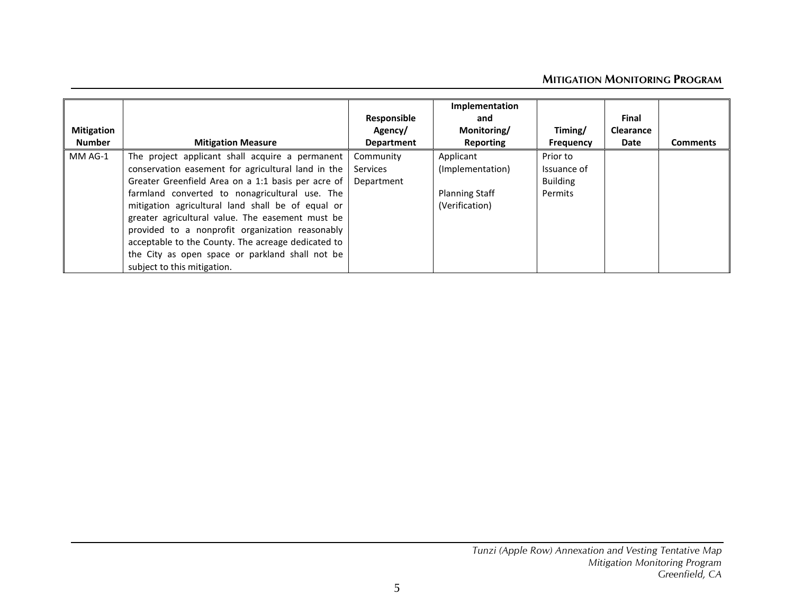| <b>Mitigation</b><br><b>Number</b> | <b>Mitigation Measure</b>                                                                                                                                                                                                                                                                                                                                                                                                                                                                                         | Responsible<br>Agency/<br><b>Department</b> | Implementation<br>and<br>Monitoring/<br>Reporting                        | Timing/<br>Frequency                                  | Final<br><b>Clearance</b><br>Date | <b>Comments</b> |
|------------------------------------|-------------------------------------------------------------------------------------------------------------------------------------------------------------------------------------------------------------------------------------------------------------------------------------------------------------------------------------------------------------------------------------------------------------------------------------------------------------------------------------------------------------------|---------------------------------------------|--------------------------------------------------------------------------|-------------------------------------------------------|-----------------------------------|-----------------|
| MM AG-1                            | The project applicant shall acquire a permanent<br>conservation easement for agricultural land in the<br>Greater Greenfield Area on a 1:1 basis per acre of<br>farmland converted to nonagricultural use. The<br>mitigation agricultural land shall be of equal or<br>greater agricultural value. The easement must be<br>provided to a nonprofit organization reasonably<br>acceptable to the County. The acreage dedicated to<br>the City as open space or parkland shall not be<br>subject to this mitigation. | Community<br><b>Services</b><br>Department  | Applicant<br>(Implementation)<br><b>Planning Staff</b><br>(Verification) | Prior to<br>Issuance of<br><b>Building</b><br>Permits |                                   |                 |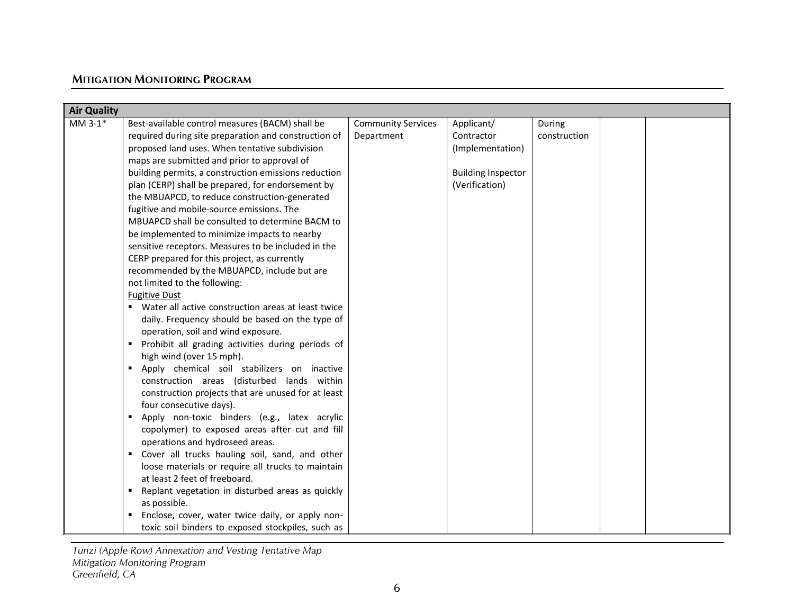| <b>Air Quality</b> |                                                         |                           |                           |              |  |  |
|--------------------|---------------------------------------------------------|---------------------------|---------------------------|--------------|--|--|
| $MM3-1*$           | Best-available control measures (BACM) shall be         | <b>Community Services</b> | Applicant/                | During       |  |  |
|                    | required during site preparation and construction of    | Department                | Contractor                | construction |  |  |
|                    | proposed land uses. When tentative subdivision          |                           | (Implementation)          |              |  |  |
|                    | maps are submitted and prior to approval of             |                           |                           |              |  |  |
|                    | building permits, a construction emissions reduction    |                           | <b>Building Inspector</b> |              |  |  |
|                    |                                                         |                           |                           |              |  |  |
|                    | plan (CERP) shall be prepared, for endorsement by       |                           | (Verification)            |              |  |  |
|                    | the MBUAPCD, to reduce construction-generated           |                           |                           |              |  |  |
|                    | fugitive and mobile-source emissions. The               |                           |                           |              |  |  |
|                    | MBUAPCD shall be consulted to determine BACM to         |                           |                           |              |  |  |
|                    | be implemented to minimize impacts to nearby            |                           |                           |              |  |  |
|                    | sensitive receptors. Measures to be included in the     |                           |                           |              |  |  |
|                    | CERP prepared for this project, as currently            |                           |                           |              |  |  |
|                    | recommended by the MBUAPCD, include but are             |                           |                           |              |  |  |
|                    | not limited to the following:                           |                           |                           |              |  |  |
|                    | <b>Fugitive Dust</b>                                    |                           |                           |              |  |  |
|                    | Water all active construction areas at least twice<br>٠ |                           |                           |              |  |  |
|                    | daily. Frequency should be based on the type of         |                           |                           |              |  |  |
|                    | operation, soil and wind exposure.                      |                           |                           |              |  |  |
|                    | Prohibit all grading activities during periods of       |                           |                           |              |  |  |
|                    | high wind (over 15 mph).                                |                           |                           |              |  |  |
|                    | Apply chemical soil stabilizers on inactive<br>٠        |                           |                           |              |  |  |
|                    | construction areas (disturbed lands within              |                           |                           |              |  |  |
|                    | construction projects that are unused for at least      |                           |                           |              |  |  |
|                    | four consecutive days).                                 |                           |                           |              |  |  |
|                    | Apply non-toxic binders (e.g., latex acrylic<br>٠       |                           |                           |              |  |  |
|                    | copolymer) to exposed areas after cut and fill          |                           |                           |              |  |  |
|                    | operations and hydroseed areas.                         |                           |                           |              |  |  |
|                    | Cover all trucks hauling soil, sand, and other          |                           |                           |              |  |  |
|                    | loose materials or require all trucks to maintain       |                           |                           |              |  |  |
|                    | at least 2 feet of freeboard.                           |                           |                           |              |  |  |
|                    | Replant vegetation in disturbed areas as quickly        |                           |                           |              |  |  |
|                    | as possible.                                            |                           |                           |              |  |  |
|                    | Enclose, cover, water twice daily, or apply non-        |                           |                           |              |  |  |
|                    | toxic soil binders to exposed stockpiles, such as       |                           |                           |              |  |  |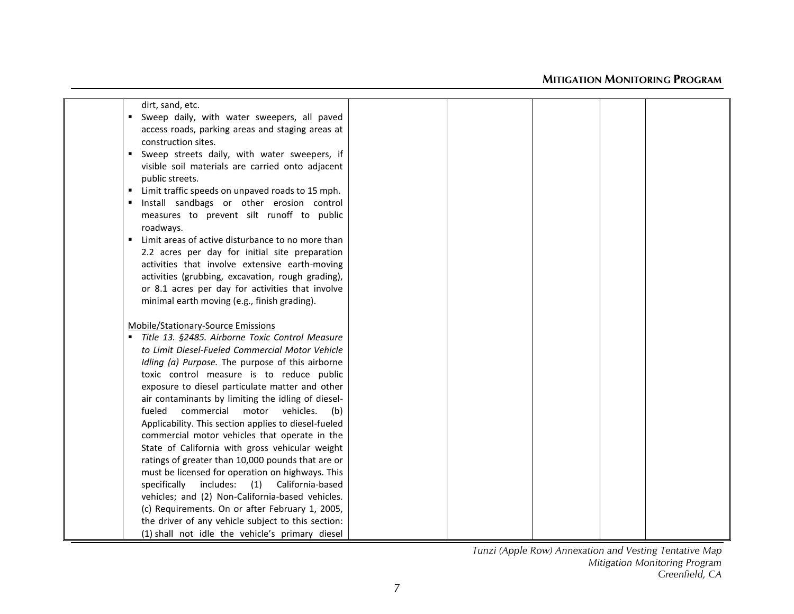| dirt, sand, etc.                                                    |  |  |  |
|---------------------------------------------------------------------|--|--|--|
| Sweep daily, with water sweepers, all paved                         |  |  |  |
| access roads, parking areas and staging areas at                    |  |  |  |
| construction sites.                                                 |  |  |  |
| Sweep streets daily, with water sweepers, if<br>٠                   |  |  |  |
| visible soil materials are carried onto adjacent                    |  |  |  |
| public streets.                                                     |  |  |  |
| Limit traffic speeds on unpaved roads to 15 mph.<br>$\blacksquare$  |  |  |  |
| Install sandbags or other erosion control<br>$\blacksquare$         |  |  |  |
| measures to prevent silt runoff to public                           |  |  |  |
| roadways.                                                           |  |  |  |
| Limit areas of active disturbance to no more than<br>$\blacksquare$ |  |  |  |
| 2.2 acres per day for initial site preparation                      |  |  |  |
| activities that involve extensive earth-moving                      |  |  |  |
| activities (grubbing, excavation, rough grading),                   |  |  |  |
| or 8.1 acres per day for activities that involve                    |  |  |  |
| minimal earth moving (e.g., finish grading).                        |  |  |  |
|                                                                     |  |  |  |
| Mobile/Stationary-Source Emissions                                  |  |  |  |
| " Title 13. §2485. Airborne Toxic Control Measure                   |  |  |  |
| to Limit Diesel-Fueled Commercial Motor Vehicle                     |  |  |  |
| Idling (a) Purpose. The purpose of this airborne                    |  |  |  |
| toxic control measure is to reduce public                           |  |  |  |
| exposure to diesel particulate matter and other                     |  |  |  |
| air contaminants by limiting the idling of diesel-                  |  |  |  |
| motor vehicles.<br>fueled<br>commercial<br>(b)                      |  |  |  |
| Applicability. This section applies to diesel-fueled                |  |  |  |
| commercial motor vehicles that operate in the                       |  |  |  |
| State of California with gross vehicular weight                     |  |  |  |
| ratings of greater than 10,000 pounds that are or                   |  |  |  |
| must be licensed for operation on highways. This                    |  |  |  |
| specifically includes: (1) California-based                         |  |  |  |
| vehicles; and (2) Non-California-based vehicles.                    |  |  |  |
| (c) Requirements. On or after February 1, 2005,                     |  |  |  |
| the driver of any vehicle subject to this section:                  |  |  |  |
| (1) shall not idle the vehicle's primary diesel                     |  |  |  |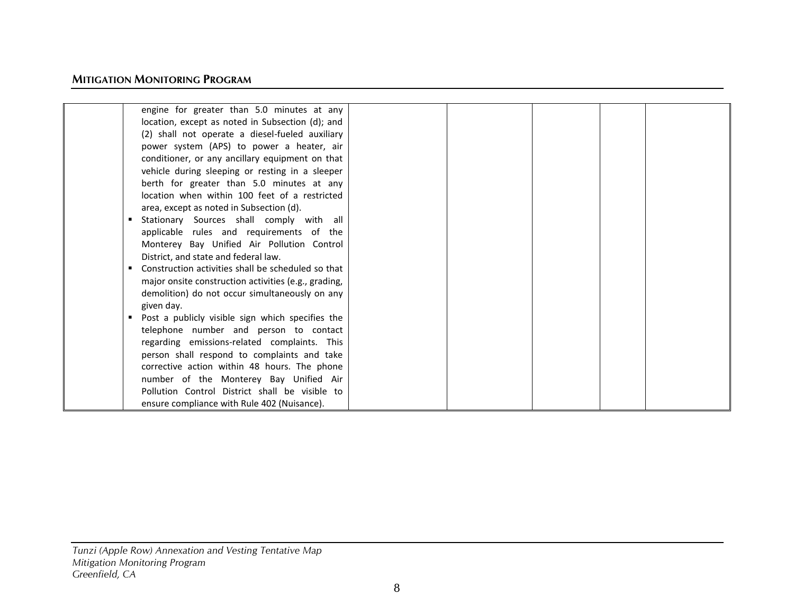| engine for greater than 5.0 minutes at any                                                                                                                                                                                                                                                                                       |  |  |  |
|----------------------------------------------------------------------------------------------------------------------------------------------------------------------------------------------------------------------------------------------------------------------------------------------------------------------------------|--|--|--|
| location, except as noted in Subsection (d); and                                                                                                                                                                                                                                                                                 |  |  |  |
| (2) shall not operate a diesel-fueled auxiliary                                                                                                                                                                                                                                                                                  |  |  |  |
| power system (APS) to power a heater, air                                                                                                                                                                                                                                                                                        |  |  |  |
| conditioner, or any ancillary equipment on that                                                                                                                                                                                                                                                                                  |  |  |  |
| vehicle during sleeping or resting in a sleeper                                                                                                                                                                                                                                                                                  |  |  |  |
| berth for greater than 5.0 minutes at any                                                                                                                                                                                                                                                                                        |  |  |  |
| location when within 100 feet of a restricted                                                                                                                                                                                                                                                                                    |  |  |  |
| area, except as noted in Subsection (d).                                                                                                                                                                                                                                                                                         |  |  |  |
| Stationary Sources shall comply with all                                                                                                                                                                                                                                                                                         |  |  |  |
| applicable rules and requirements of the                                                                                                                                                                                                                                                                                         |  |  |  |
| Monterey Bay Unified Air Pollution Control                                                                                                                                                                                                                                                                                       |  |  |  |
| District, and state and federal law.                                                                                                                                                                                                                                                                                             |  |  |  |
| Construction activities shall be scheduled so that                                                                                                                                                                                                                                                                               |  |  |  |
| major onsite construction activities (e.g., grading,                                                                                                                                                                                                                                                                             |  |  |  |
| demolition) do not occur simultaneously on any                                                                                                                                                                                                                                                                                   |  |  |  |
| given day.                                                                                                                                                                                                                                                                                                                       |  |  |  |
| Post a publicly visible sign which specifies the                                                                                                                                                                                                                                                                                 |  |  |  |
|                                                                                                                                                                                                                                                                                                                                  |  |  |  |
|                                                                                                                                                                                                                                                                                                                                  |  |  |  |
|                                                                                                                                                                                                                                                                                                                                  |  |  |  |
|                                                                                                                                                                                                                                                                                                                                  |  |  |  |
|                                                                                                                                                                                                                                                                                                                                  |  |  |  |
|                                                                                                                                                                                                                                                                                                                                  |  |  |  |
|                                                                                                                                                                                                                                                                                                                                  |  |  |  |
| telephone number and person to contact<br>regarding emissions-related complaints. This<br>person shall respond to complaints and take<br>corrective action within 48 hours. The phone<br>number of the Monterey Bay Unified Air<br>Pollution Control District shall be visible to<br>ensure compliance with Rule 402 (Nuisance). |  |  |  |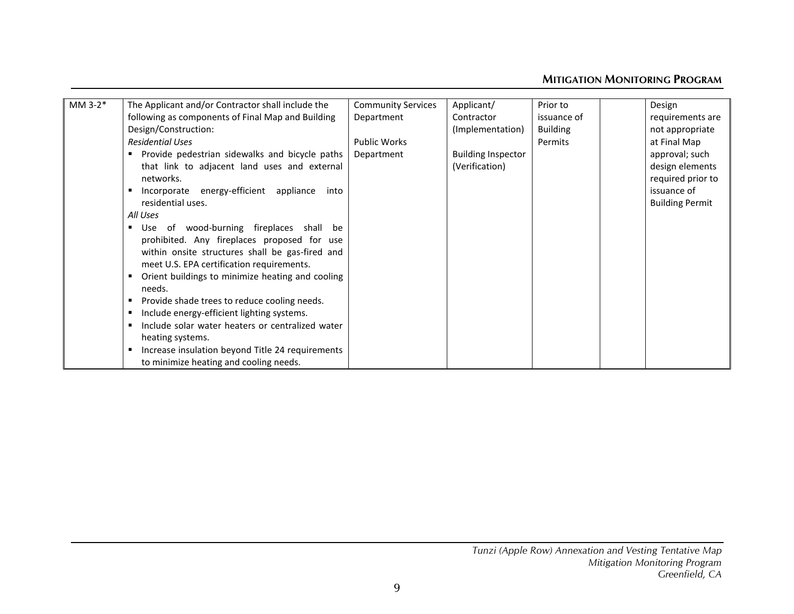| The Applicant and/or Contractor shall include the         | <b>Community Services</b>                                                                                          | Applicant/                                     | Prior to        | Design                 |
|-----------------------------------------------------------|--------------------------------------------------------------------------------------------------------------------|------------------------------------------------|-----------------|------------------------|
| following as components of Final Map and Building         | Department                                                                                                         | Contractor                                     | issuance of     | requirements are       |
| Design/Construction:                                      |                                                                                                                    | (Implementation)                               | <b>Building</b> | not appropriate        |
| <b>Residential Uses</b>                                   | <b>Public Works</b>                                                                                                |                                                | Permits         | at Final Map           |
|                                                           | Department                                                                                                         | <b>Building Inspector</b>                      |                 | approval; such         |
| that link to adjacent land uses and external              |                                                                                                                    | (Verification)                                 |                 | design elements        |
| networks.                                                 |                                                                                                                    |                                                |                 | required prior to      |
| Incorporate energy-efficient appliance<br>into            |                                                                                                                    |                                                |                 | issuance of            |
| residential uses.                                         |                                                                                                                    |                                                |                 | <b>Building Permit</b> |
| All Uses                                                  |                                                                                                                    |                                                |                 |                        |
| Use of wood-burning fireplaces shall be<br>$\blacksquare$ |                                                                                                                    |                                                |                 |                        |
| prohibited. Any fireplaces proposed for use               |                                                                                                                    |                                                |                 |                        |
| within onsite structures shall be gas-fired and           |                                                                                                                    |                                                |                 |                        |
| meet U.S. EPA certification requirements.                 |                                                                                                                    |                                                |                 |                        |
| Orient buildings to minimize heating and cooling<br>٠     |                                                                                                                    |                                                |                 |                        |
| needs.                                                    |                                                                                                                    |                                                |                 |                        |
| Provide shade trees to reduce cooling needs.<br>٠         |                                                                                                                    |                                                |                 |                        |
|                                                           |                                                                                                                    |                                                |                 |                        |
| Include solar water heaters or centralized water<br>٠     |                                                                                                                    |                                                |                 |                        |
|                                                           |                                                                                                                    |                                                |                 |                        |
| ٠                                                         |                                                                                                                    |                                                |                 |                        |
| to minimize heating and cooling needs.                    |                                                                                                                    |                                                |                 |                        |
|                                                           | Include energy-efficient lighting systems.<br>heating systems.<br>Increase insulation beyond Title 24 requirements | Provide pedestrian sidewalks and bicycle paths |                 |                        |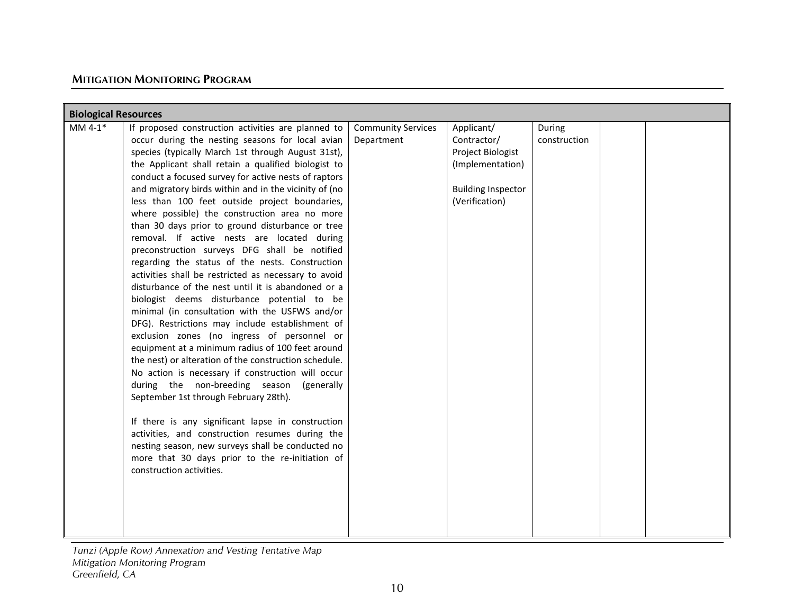| <b>Biological Resources</b> |                                                       |                           |                           |              |  |  |
|-----------------------------|-------------------------------------------------------|---------------------------|---------------------------|--------------|--|--|
| MM $4-1$ <sup>*</sup>       | If proposed construction activities are planned to    | <b>Community Services</b> | Applicant/                | During       |  |  |
|                             | occur during the nesting seasons for local avian      | Department                | Contractor/               | construction |  |  |
|                             | species (typically March 1st through August 31st),    |                           | Project Biologist         |              |  |  |
|                             |                                                       |                           |                           |              |  |  |
|                             | the Applicant shall retain a qualified biologist to   |                           | (Implementation)          |              |  |  |
|                             | conduct a focused survey for active nests of raptors  |                           |                           |              |  |  |
|                             | and migratory birds within and in the vicinity of (no |                           | <b>Building Inspector</b> |              |  |  |
|                             | less than 100 feet outside project boundaries,        |                           | (Verification)            |              |  |  |
|                             | where possible) the construction area no more         |                           |                           |              |  |  |
|                             | than 30 days prior to ground disturbance or tree      |                           |                           |              |  |  |
|                             | removal. If active nests are located during           |                           |                           |              |  |  |
|                             | preconstruction surveys DFG shall be notified         |                           |                           |              |  |  |
|                             | regarding the status of the nests. Construction       |                           |                           |              |  |  |
|                             | activities shall be restricted as necessary to avoid  |                           |                           |              |  |  |
|                             | disturbance of the nest until it is abandoned or a    |                           |                           |              |  |  |
|                             | biologist deems disturbance potential to be           |                           |                           |              |  |  |
|                             | minimal (in consultation with the USFWS and/or        |                           |                           |              |  |  |
|                             | DFG). Restrictions may include establishment of       |                           |                           |              |  |  |
|                             | exclusion zones (no ingress of personnel or           |                           |                           |              |  |  |
|                             | equipment at a minimum radius of 100 feet around      |                           |                           |              |  |  |
|                             | the nest) or alteration of the construction schedule. |                           |                           |              |  |  |
|                             | No action is necessary if construction will occur     |                           |                           |              |  |  |
|                             | during the non-breeding season (generally             |                           |                           |              |  |  |
|                             | September 1st through February 28th).                 |                           |                           |              |  |  |
|                             | If there is any significant lapse in construction     |                           |                           |              |  |  |
|                             | activities, and construction resumes during the       |                           |                           |              |  |  |
|                             | nesting season, new surveys shall be conducted no     |                           |                           |              |  |  |
|                             |                                                       |                           |                           |              |  |  |
|                             | more that 30 days prior to the re-initiation of       |                           |                           |              |  |  |
|                             | construction activities.                              |                           |                           |              |  |  |
|                             |                                                       |                           |                           |              |  |  |
|                             |                                                       |                           |                           |              |  |  |
|                             |                                                       |                           |                           |              |  |  |
|                             |                                                       |                           |                           |              |  |  |
|                             |                                                       |                           |                           |              |  |  |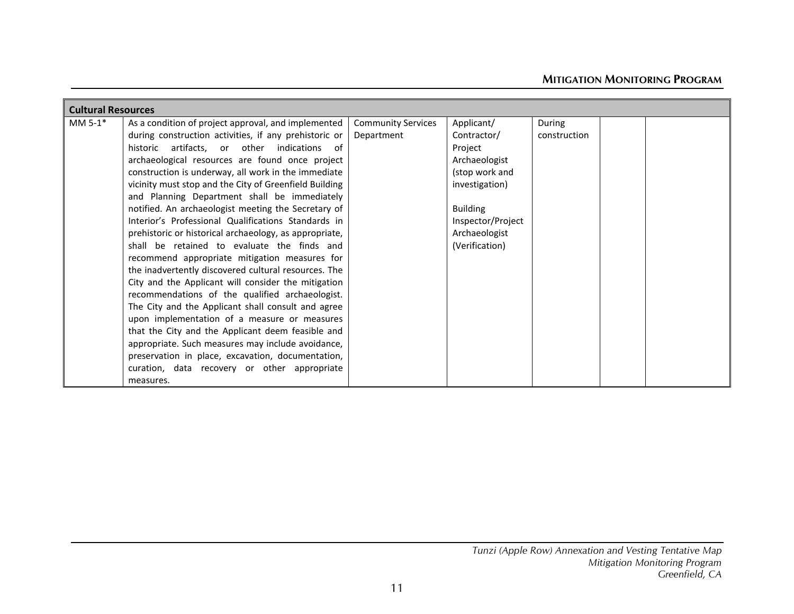| <b>Cultural Resources</b> |                                                        |                           |                   |              |  |
|---------------------------|--------------------------------------------------------|---------------------------|-------------------|--------------|--|
| MM 5-1*                   | As a condition of project approval, and implemented    | <b>Community Services</b> | Applicant/        | During       |  |
|                           | during construction activities, if any prehistoric or  | Department                | Contractor/       | construction |  |
|                           | historic artifacts, or other indications of            |                           | Project           |              |  |
|                           | archaeological resources are found once project        |                           | Archaeologist     |              |  |
|                           | construction is underway, all work in the immediate    |                           | (stop work and    |              |  |
|                           | vicinity must stop and the City of Greenfield Building |                           | investigation)    |              |  |
|                           | and Planning Department shall be immediately           |                           |                   |              |  |
|                           | notified. An archaeologist meeting the Secretary of    |                           | <b>Building</b>   |              |  |
|                           | Interior's Professional Qualifications Standards in    |                           | Inspector/Project |              |  |
|                           | prehistoric or historical archaeology, as appropriate, |                           | Archaeologist     |              |  |
|                           | shall be retained to evaluate the finds and            |                           | (Verification)    |              |  |
|                           | recommend appropriate mitigation measures for          |                           |                   |              |  |
|                           | the inadvertently discovered cultural resources. The   |                           |                   |              |  |
|                           | City and the Applicant will consider the mitigation    |                           |                   |              |  |
|                           | recommendations of the qualified archaeologist.        |                           |                   |              |  |
|                           | The City and the Applicant shall consult and agree     |                           |                   |              |  |
|                           | upon implementation of a measure or measures           |                           |                   |              |  |
|                           | that the City and the Applicant deem feasible and      |                           |                   |              |  |
|                           | appropriate. Such measures may include avoidance,      |                           |                   |              |  |
|                           | preservation in place, excavation, documentation,      |                           |                   |              |  |
|                           | curation, data recovery or other appropriate           |                           |                   |              |  |
|                           | measures.                                              |                           |                   |              |  |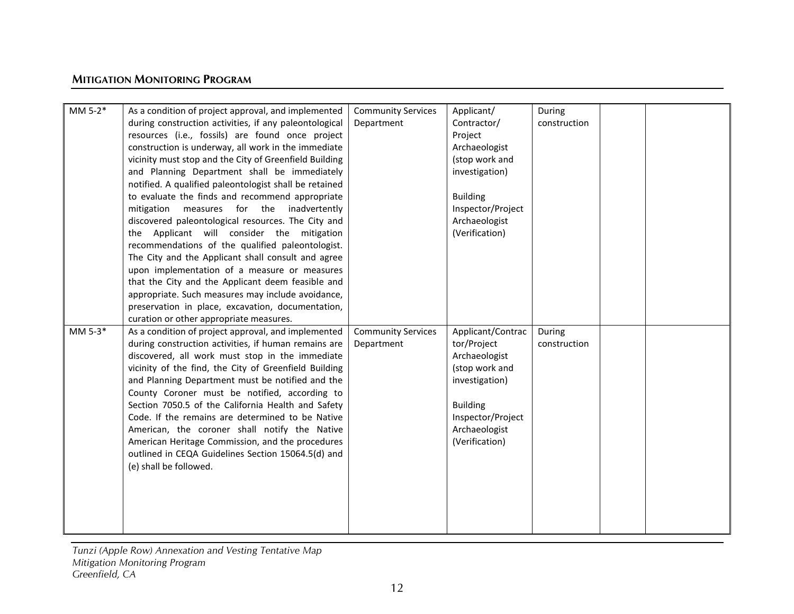| MM $5-2$ <sup>*</sup> | As a condition of project approval, and implemented    | <b>Community Services</b> | Applicant/        | During       |  |
|-----------------------|--------------------------------------------------------|---------------------------|-------------------|--------------|--|
|                       | during construction activities, if any paleontological | Department                | Contractor/       | construction |  |
|                       | resources (i.e., fossils) are found once project       |                           | Project           |              |  |
|                       | construction is underway, all work in the immediate    |                           | Archaeologist     |              |  |
|                       | vicinity must stop and the City of Greenfield Building |                           | (stop work and    |              |  |
|                       | and Planning Department shall be immediately           |                           | investigation)    |              |  |
|                       | notified. A qualified paleontologist shall be retained |                           |                   |              |  |
|                       | to evaluate the finds and recommend appropriate        |                           | <b>Building</b>   |              |  |
|                       | mitigation measures for the inadvertently              |                           | Inspector/Project |              |  |
|                       | discovered paleontological resources. The City and     |                           | Archaeologist     |              |  |
|                       | the Applicant will consider the mitigation             |                           | (Verification)    |              |  |
|                       | recommendations of the qualified paleontologist.       |                           |                   |              |  |
|                       | The City and the Applicant shall consult and agree     |                           |                   |              |  |
|                       | upon implementation of a measure or measures           |                           |                   |              |  |
|                       | that the City and the Applicant deem feasible and      |                           |                   |              |  |
|                       | appropriate. Such measures may include avoidance,      |                           |                   |              |  |
|                       | preservation in place, excavation, documentation,      |                           |                   |              |  |
|                       | curation or other appropriate measures.                |                           |                   |              |  |
| MM 5-3*               | As a condition of project approval, and implemented    | <b>Community Services</b> | Applicant/Contrac | During       |  |
|                       | during construction activities, if human remains are   | Department                | tor/Project       | construction |  |
|                       | discovered, all work must stop in the immediate        |                           | Archaeologist     |              |  |
|                       | vicinity of the find, the City of Greenfield Building  |                           | (stop work and    |              |  |
|                       | and Planning Department must be notified and the       |                           | investigation)    |              |  |
|                       | County Coroner must be notified, according to          |                           |                   |              |  |
|                       | Section 7050.5 of the California Health and Safety     |                           | <b>Building</b>   |              |  |
|                       | Code. If the remains are determined to be Native       |                           | Inspector/Project |              |  |
|                       | American, the coroner shall notify the Native          |                           | Archaeologist     |              |  |
|                       | American Heritage Commission, and the procedures       |                           | (Verification)    |              |  |
|                       | outlined in CEQA Guidelines Section 15064.5(d) and     |                           |                   |              |  |
|                       | (e) shall be followed.                                 |                           |                   |              |  |
|                       |                                                        |                           |                   |              |  |
|                       |                                                        |                           |                   |              |  |
|                       |                                                        |                           |                   |              |  |
|                       |                                                        |                           |                   |              |  |
|                       |                                                        |                           |                   |              |  |
|                       |                                                        |                           |                   |              |  |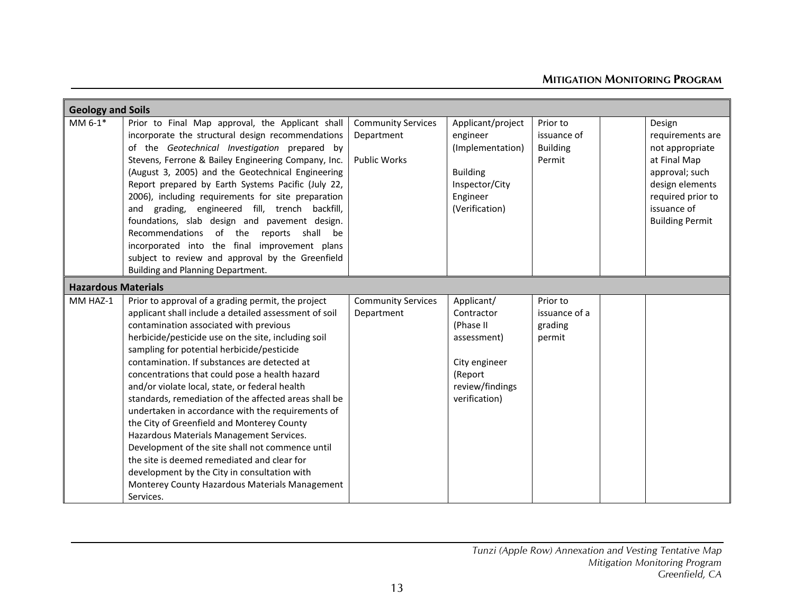|                            | <b>Geology and Soils</b>                                                                                                                                                                                                                                                                                                                                                                                                                                                                                                                                                                                                                                                                                                                                                                                                                 |                                                         |                                                                                                                      |                                                      |                                                                                                                                                                  |  |
|----------------------------|------------------------------------------------------------------------------------------------------------------------------------------------------------------------------------------------------------------------------------------------------------------------------------------------------------------------------------------------------------------------------------------------------------------------------------------------------------------------------------------------------------------------------------------------------------------------------------------------------------------------------------------------------------------------------------------------------------------------------------------------------------------------------------------------------------------------------------------|---------------------------------------------------------|----------------------------------------------------------------------------------------------------------------------|------------------------------------------------------|------------------------------------------------------------------------------------------------------------------------------------------------------------------|--|
| MM 6-1*                    | Prior to Final Map approval, the Applicant shall<br>incorporate the structural design recommendations<br>of the Geotechnical Investigation prepared by<br>Stevens, Ferrone & Bailey Engineering Company, Inc.<br>(August 3, 2005) and the Geotechnical Engineering<br>Report prepared by Earth Systems Pacific (July 22,<br>2006), including requirements for site preparation<br>and grading, engineered fill, trench backfill,<br>foundations, slab design and pavement design.<br>Recommendations<br>of the<br>reports shall be<br>incorporated into the final improvement plans<br>subject to review and approval by the Greenfield<br>Building and Planning Department.                                                                                                                                                             | <b>Community Services</b><br>Department<br>Public Works | Applicant/project<br>engineer<br>(Implementation)<br><b>Building</b><br>Inspector/City<br>Engineer<br>(Verification) | Prior to<br>issuance of<br><b>Building</b><br>Permit | Design<br>requirements are<br>not appropriate<br>at Final Map<br>approval; such<br>design elements<br>required prior to<br>issuance of<br><b>Building Permit</b> |  |
| <b>Hazardous Materials</b> |                                                                                                                                                                                                                                                                                                                                                                                                                                                                                                                                                                                                                                                                                                                                                                                                                                          |                                                         |                                                                                                                      |                                                      |                                                                                                                                                                  |  |
| MM HAZ-1                   | Prior to approval of a grading permit, the project<br>applicant shall include a detailed assessment of soil<br>contamination associated with previous<br>herbicide/pesticide use on the site, including soil<br>sampling for potential herbicide/pesticide<br>contamination. If substances are detected at<br>concentrations that could pose a health hazard<br>and/or violate local, state, or federal health<br>standards, remediation of the affected areas shall be<br>undertaken in accordance with the requirements of<br>the City of Greenfield and Monterey County<br>Hazardous Materials Management Services.<br>Development of the site shall not commence until<br>the site is deemed remediated and clear for<br>development by the City in consultation with<br>Monterey County Hazardous Materials Management<br>Services. | <b>Community Services</b><br>Department                 | Applicant/<br>Contractor<br>(Phase II<br>assessment)<br>City engineer<br>(Report<br>review/findings<br>verification) | Prior to<br>issuance of a<br>grading<br>permit       |                                                                                                                                                                  |  |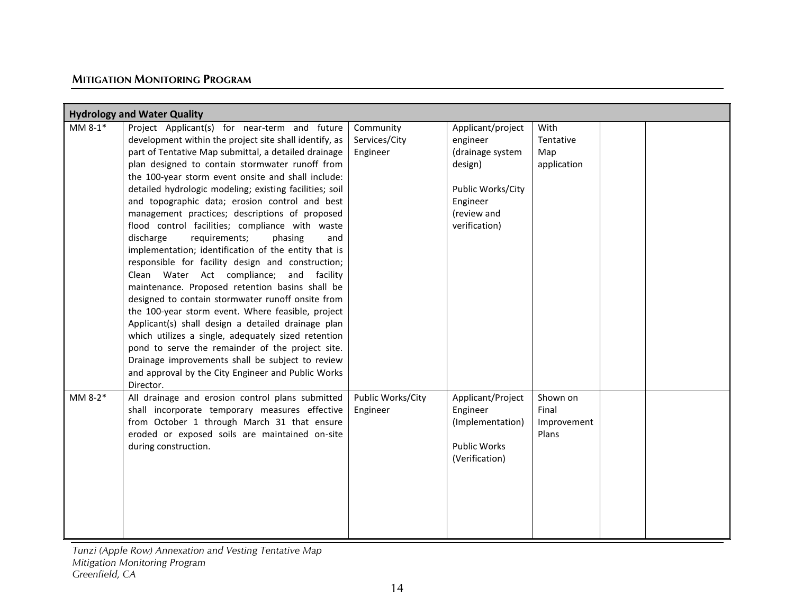| <b>Hydrology and Water Quality</b> |                                                                                                                                                                                                                                                                                                                                                                                                                                                                                                                                                                                                                                                                                                                                                                                                                                                                                                                                                                                                                                                                                                                                                          |                                        |                                                                                                                               |                                           |  |  |
|------------------------------------|----------------------------------------------------------------------------------------------------------------------------------------------------------------------------------------------------------------------------------------------------------------------------------------------------------------------------------------------------------------------------------------------------------------------------------------------------------------------------------------------------------------------------------------------------------------------------------------------------------------------------------------------------------------------------------------------------------------------------------------------------------------------------------------------------------------------------------------------------------------------------------------------------------------------------------------------------------------------------------------------------------------------------------------------------------------------------------------------------------------------------------------------------------|----------------------------------------|-------------------------------------------------------------------------------------------------------------------------------|-------------------------------------------|--|--|
| MM $8-1*$                          | Project Applicant(s) for near-term and future<br>development within the project site shall identify, as<br>part of Tentative Map submittal, a detailed drainage<br>plan designed to contain stormwater runoff from<br>the 100-year storm event onsite and shall include:<br>detailed hydrologic modeling; existing facilities; soil<br>and topographic data; erosion control and best<br>management practices; descriptions of proposed<br>flood control facilities; compliance with waste<br>requirements;<br>discharge<br>phasing<br>and<br>implementation; identification of the entity that is<br>responsible for facility design and construction;<br>Clean Water Act compliance; and facility<br>maintenance. Proposed retention basins shall be<br>designed to contain stormwater runoff onsite from<br>the 100-year storm event. Where feasible, project<br>Applicant(s) shall design a detailed drainage plan<br>which utilizes a single, adequately sized retention<br>pond to serve the remainder of the project site.<br>Drainage improvements shall be subject to review<br>and approval by the City Engineer and Public Works<br>Director. | Community<br>Services/City<br>Engineer | Applicant/project<br>engineer<br>(drainage system<br>design)<br>Public Works/City<br>Engineer<br>(review and<br>verification) | With<br>Tentative<br>Map<br>application   |  |  |
| MM 8-2*                            | All drainage and erosion control plans submitted<br>shall incorporate temporary measures effective<br>from October 1 through March 31 that ensure<br>eroded or exposed soils are maintained on-site<br>during construction.                                                                                                                                                                                                                                                                                                                                                                                                                                                                                                                                                                                                                                                                                                                                                                                                                                                                                                                              | Public Works/City<br>Engineer          | Applicant/Project<br>Engineer<br>(Implementation)<br><b>Public Works</b><br>(Verification)                                    | Shown on<br>Final<br>Improvement<br>Plans |  |  |

*Tunzi (Apple Row) Annexation and Vesting Tentative Map*

*Mitigation Monitoring Program*

*Greenfield, CA*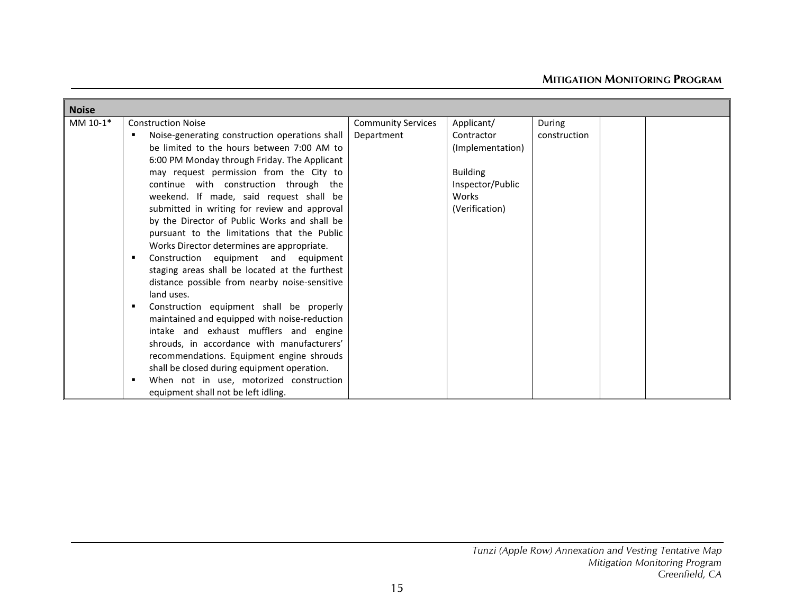| <b>Noise</b> |                                                |                           |                  |              |  |
|--------------|------------------------------------------------|---------------------------|------------------|--------------|--|
| MM 10-1*     | <b>Construction Noise</b>                      | <b>Community Services</b> | Applicant/       | During       |  |
|              | Noise-generating construction operations shall | Department                | Contractor       | construction |  |
|              | be limited to the hours between 7:00 AM to     |                           | (Implementation) |              |  |
|              | 6:00 PM Monday through Friday. The Applicant   |                           |                  |              |  |
|              | may request permission from the City to        |                           | <b>Building</b>  |              |  |
|              | continue with construction through the         |                           | Inspector/Public |              |  |
|              | weekend. If made, said request shall be        |                           | Works            |              |  |
|              | submitted in writing for review and approval   |                           | (Verification)   |              |  |
|              | by the Director of Public Works and shall be   |                           |                  |              |  |
|              | pursuant to the limitations that the Public    |                           |                  |              |  |
|              | Works Director determines are appropriate.     |                           |                  |              |  |
|              | Construction equipment and equipment           |                           |                  |              |  |
|              | staging areas shall be located at the furthest |                           |                  |              |  |
|              | distance possible from nearby noise-sensitive  |                           |                  |              |  |
|              | land uses.                                     |                           |                  |              |  |
|              | Construction equipment shall be properly       |                           |                  |              |  |
|              | maintained and equipped with noise-reduction   |                           |                  |              |  |
|              | intake and exhaust mufflers and engine         |                           |                  |              |  |
|              | shrouds, in accordance with manufacturers'     |                           |                  |              |  |
|              | recommendations. Equipment engine shrouds      |                           |                  |              |  |
|              | shall be closed during equipment operation.    |                           |                  |              |  |
|              | When not in use, motorized construction        |                           |                  |              |  |
|              | equipment shall not be left idling.            |                           |                  |              |  |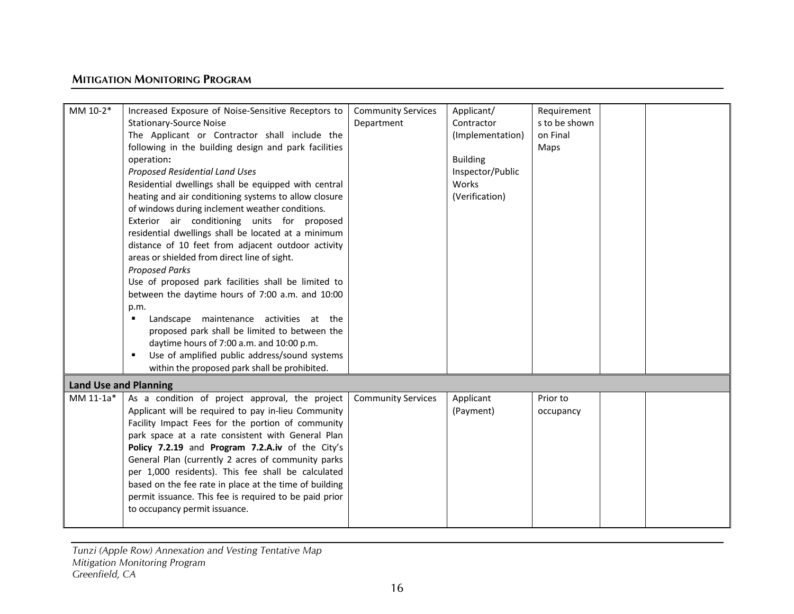| MM 10-2*                     | Increased Exposure of Noise-Sensitive Receptors to     | <b>Community Services</b> | Applicant/       | Requirement   |  |
|------------------------------|--------------------------------------------------------|---------------------------|------------------|---------------|--|
|                              | <b>Stationary-Source Noise</b>                         | Department                | Contractor       | s to be shown |  |
|                              | The Applicant or Contractor shall include the          |                           | (Implementation) | on Final      |  |
|                              | following in the building design and park facilities   |                           |                  | Maps          |  |
|                              | operation:                                             |                           | <b>Building</b>  |               |  |
|                              | Proposed Residential Land Uses                         |                           | Inspector/Public |               |  |
|                              | Residential dwellings shall be equipped with central   |                           | Works            |               |  |
|                              | heating and air conditioning systems to allow closure  |                           | (Verification)   |               |  |
|                              | of windows during inclement weather conditions.        |                           |                  |               |  |
|                              | Exterior air conditioning units for proposed           |                           |                  |               |  |
|                              | residential dwellings shall be located at a minimum    |                           |                  |               |  |
|                              | distance of 10 feet from adjacent outdoor activity     |                           |                  |               |  |
|                              | areas or shielded from direct line of sight.           |                           |                  |               |  |
|                              | <b>Proposed Parks</b>                                  |                           |                  |               |  |
|                              | Use of proposed park facilities shall be limited to    |                           |                  |               |  |
|                              | between the daytime hours of 7:00 a.m. and 10:00       |                           |                  |               |  |
|                              | p.m.                                                   |                           |                  |               |  |
|                              | Landscape maintenance activities at the<br>٠           |                           |                  |               |  |
|                              | proposed park shall be limited to between the          |                           |                  |               |  |
|                              | daytime hours of 7:00 a.m. and 10:00 p.m.              |                           |                  |               |  |
|                              | Use of amplified public address/sound systems<br>٠     |                           |                  |               |  |
|                              | within the proposed park shall be prohibited.          |                           |                  |               |  |
| <b>Land Use and Planning</b> |                                                        |                           |                  |               |  |
| MM 11-1a*                    | As a condition of project approval, the project        | <b>Community Services</b> | Applicant        | Prior to      |  |
|                              | Applicant will be required to pay in-lieu Community    |                           | (Payment)        | occupancy     |  |
|                              | Facility Impact Fees for the portion of community      |                           |                  |               |  |
|                              | park space at a rate consistent with General Plan      |                           |                  |               |  |
|                              | Policy 7.2.19 and Program 7.2.A.iv of the City's       |                           |                  |               |  |
|                              | General Plan (currently 2 acres of community parks     |                           |                  |               |  |
|                              | per 1,000 residents). This fee shall be calculated     |                           |                  |               |  |
|                              | based on the fee rate in place at the time of building |                           |                  |               |  |
|                              | permit issuance. This fee is required to be paid prior |                           |                  |               |  |
|                              | to occupancy permit issuance.                          |                           |                  |               |  |
|                              |                                                        |                           |                  |               |  |
|                              |                                                        |                           |                  |               |  |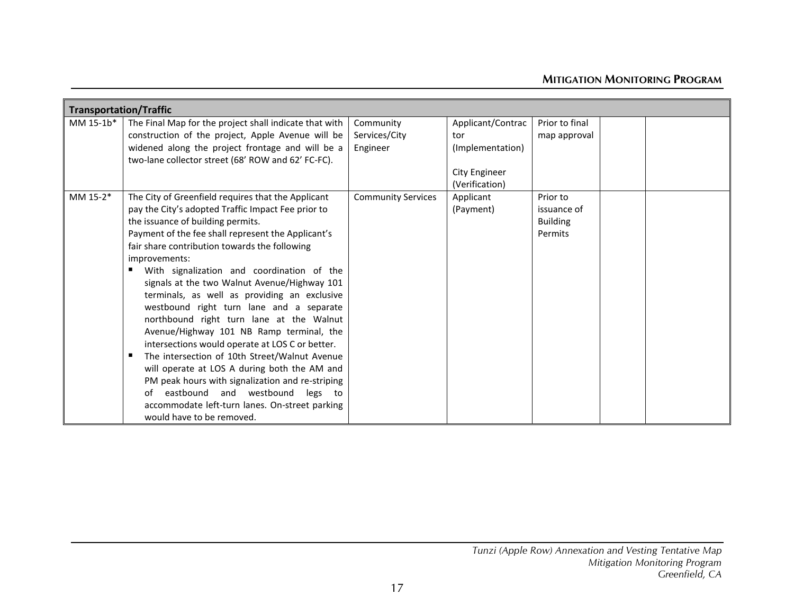|           | <b>Transportation/Traffic</b>                                                                                                                                                                                                                                                                                                                                                                                                                                                                                                                                                                                                                                                                                                                                                                                                                                                                     |                                        |                                                                                 |                                                       |  |  |  |
|-----------|---------------------------------------------------------------------------------------------------------------------------------------------------------------------------------------------------------------------------------------------------------------------------------------------------------------------------------------------------------------------------------------------------------------------------------------------------------------------------------------------------------------------------------------------------------------------------------------------------------------------------------------------------------------------------------------------------------------------------------------------------------------------------------------------------------------------------------------------------------------------------------------------------|----------------------------------------|---------------------------------------------------------------------------------|-------------------------------------------------------|--|--|--|
| MM 15-1b* | The Final Map for the project shall indicate that with<br>construction of the project, Apple Avenue will be<br>widened along the project frontage and will be a<br>two-lane collector street (68' ROW and 62' FC-FC).                                                                                                                                                                                                                                                                                                                                                                                                                                                                                                                                                                                                                                                                             | Community<br>Services/City<br>Engineer | Applicant/Contrac<br>tor<br>(Implementation)<br>City Engineer<br>(Verification) | Prior to final<br>map approval                        |  |  |  |
| MM 15-2*  | The City of Greenfield requires that the Applicant<br>pay the City's adopted Traffic Impact Fee prior to<br>the issuance of building permits.<br>Payment of the fee shall represent the Applicant's<br>fair share contribution towards the following<br>improvements:<br>With signalization and coordination of the<br>٠<br>signals at the two Walnut Avenue/Highway 101<br>terminals, as well as providing an exclusive<br>westbound right turn lane and a separate<br>northbound right turn lane at the Walnut<br>Avenue/Highway 101 NB Ramp terminal, the<br>intersections would operate at LOS C or better.<br>The intersection of 10th Street/Walnut Avenue<br>п<br>will operate at LOS A during both the AM and<br>PM peak hours with signalization and re-striping<br>eastbound and westbound legs to<br>of<br>accommodate left-turn lanes. On-street parking<br>would have to be removed. | <b>Community Services</b>              | Applicant<br>(Payment)                                                          | Prior to<br>issuance of<br><b>Building</b><br>Permits |  |  |  |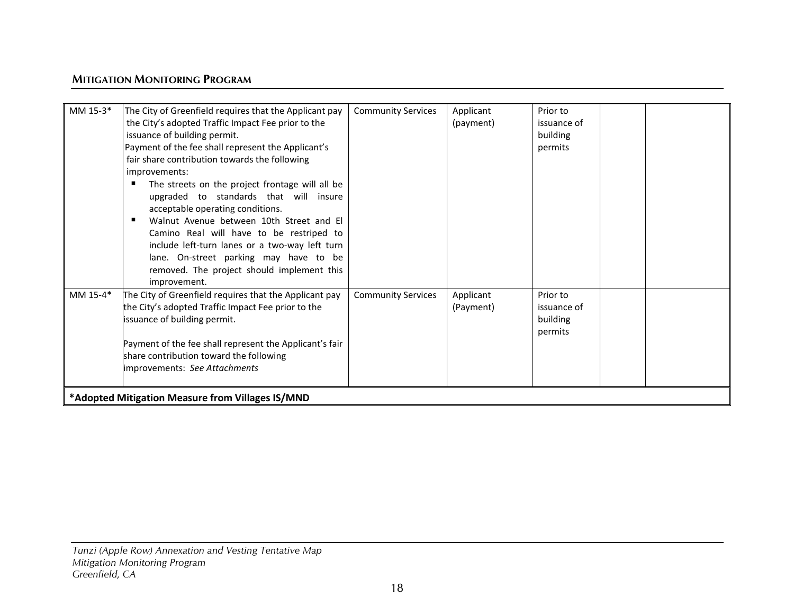| MM 15-3* | The City of Greenfield requires that the Applicant pay  | <b>Community Services</b> | Applicant | Prior to    |  |
|----------|---------------------------------------------------------|---------------------------|-----------|-------------|--|
|          | the City's adopted Traffic Impact Fee prior to the      |                           | (payment) | issuance of |  |
|          | issuance of building permit.                            |                           |           | building    |  |
|          | Payment of the fee shall represent the Applicant's      |                           |           | permits     |  |
|          | fair share contribution towards the following           |                           |           |             |  |
|          | improvements:                                           |                           |           |             |  |
|          | The streets on the project frontage will all be         |                           |           |             |  |
|          | upgraded to standards that will insure                  |                           |           |             |  |
|          | acceptable operating conditions.                        |                           |           |             |  |
|          | Walnut Avenue between 10th Street and El                |                           |           |             |  |
|          | Camino Real will have to be restriped to                |                           |           |             |  |
|          | include left-turn lanes or a two-way left turn          |                           |           |             |  |
|          | lane. On-street parking may have to be                  |                           |           |             |  |
|          | removed. The project should implement this              |                           |           |             |  |
|          | improvement.                                            |                           |           |             |  |
| MM 15-4* | The City of Greenfield requires that the Applicant pay  | <b>Community Services</b> | Applicant | Prior to    |  |
|          | the City's adopted Traffic Impact Fee prior to the      |                           |           | issuance of |  |
|          |                                                         |                           | (Payment) |             |  |
|          | issuance of building permit.                            |                           |           | building    |  |
|          |                                                         |                           |           | permits     |  |
|          | Payment of the fee shall represent the Applicant's fair |                           |           |             |  |
|          | share contribution toward the following                 |                           |           |             |  |
|          | improvements: See Attachments                           |                           |           |             |  |
|          |                                                         |                           |           |             |  |
|          | *Adopted Mitigation Measure from Villages IS/MND        |                           |           |             |  |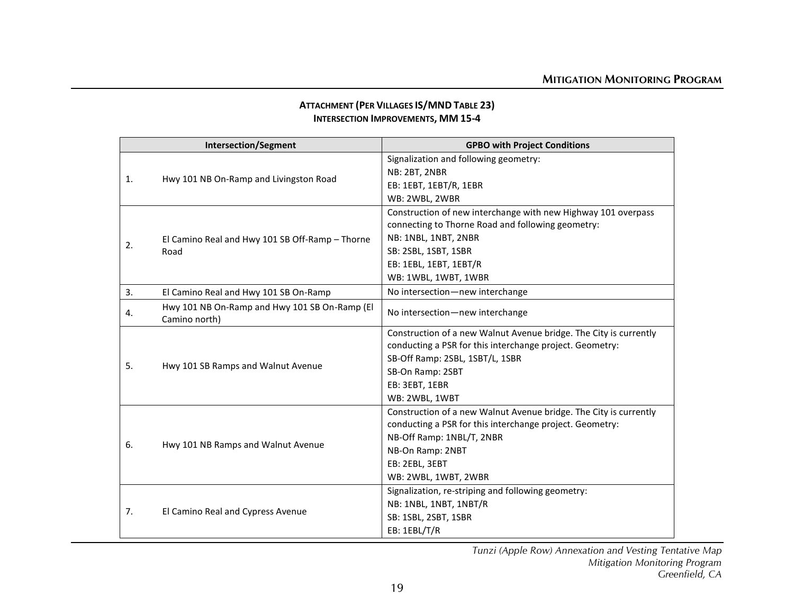| <b>ATTACHMENT (PER VILLAGES IS/MND TABLE 23)</b> |
|--------------------------------------------------|
| <b>INTERSECTION IMPROVEMENTS, MM 15-4</b>        |

|    | <b>Intersection/Segment</b>                                    | <b>GPBO with Project Conditions</b>                               |
|----|----------------------------------------------------------------|-------------------------------------------------------------------|
|    |                                                                | Signalization and following geometry:                             |
| 1. | Hwy 101 NB On-Ramp and Livingston Road                         | NB: 2BT, 2NBR                                                     |
|    |                                                                | EB: 1EBT, 1EBT/R, 1EBR                                            |
|    |                                                                | WB: 2WBL, 2WBR                                                    |
|    |                                                                | Construction of new interchange with new Highway 101 overpass     |
|    |                                                                | connecting to Thorne Road and following geometry:                 |
|    | El Camino Real and Hwy 101 SB Off-Ramp - Thorne                | NB: 1NBL, 1NBT, 2NBR                                              |
| 2. | Road                                                           | SB: 2SBL, 1SBT, 1SBR                                              |
|    |                                                                | EB: 1EBL, 1EBT, 1EBT/R                                            |
|    |                                                                | WB: 1WBL, 1WBT, 1WBR                                              |
| 3. | El Camino Real and Hwy 101 SB On-Ramp                          | No intersection-new interchange                                   |
| 4. | Hwy 101 NB On-Ramp and Hwy 101 SB On-Ramp (El<br>Camino north) | No intersection-new interchange                                   |
|    |                                                                | Construction of a new Walnut Avenue bridge. The City is currently |
|    |                                                                | conducting a PSR for this interchange project. Geometry:          |
| 5. |                                                                | SB-Off Ramp: 2SBL, 1SBT/L, 1SBR                                   |
|    | Hwy 101 SB Ramps and Walnut Avenue                             | SB-On Ramp: 2SBT                                                  |
|    |                                                                | EB: 3EBT, 1EBR                                                    |
|    |                                                                | WB: 2WBL, 1WBT                                                    |
|    |                                                                | Construction of a new Walnut Avenue bridge. The City is currently |
|    |                                                                | conducting a PSR for this interchange project. Geometry:          |
| 6. | Hwy 101 NB Ramps and Walnut Avenue                             | NB-Off Ramp: 1NBL/T, 2NBR                                         |
|    |                                                                | NB-On Ramp: 2NBT                                                  |
|    |                                                                | EB: 2EBL, 3EBT                                                    |
|    |                                                                | WB: 2WBL, 1WBT, 2WBR                                              |
|    |                                                                | Signalization, re-striping and following geometry:                |
| 7. |                                                                | NB: 1NBL, 1NBT, 1NBT/R                                            |
|    | El Camino Real and Cypress Avenue                              | SB: 1SBL, 2SBT, 1SBR                                              |
|    |                                                                | EB: 1EBL/T/R                                                      |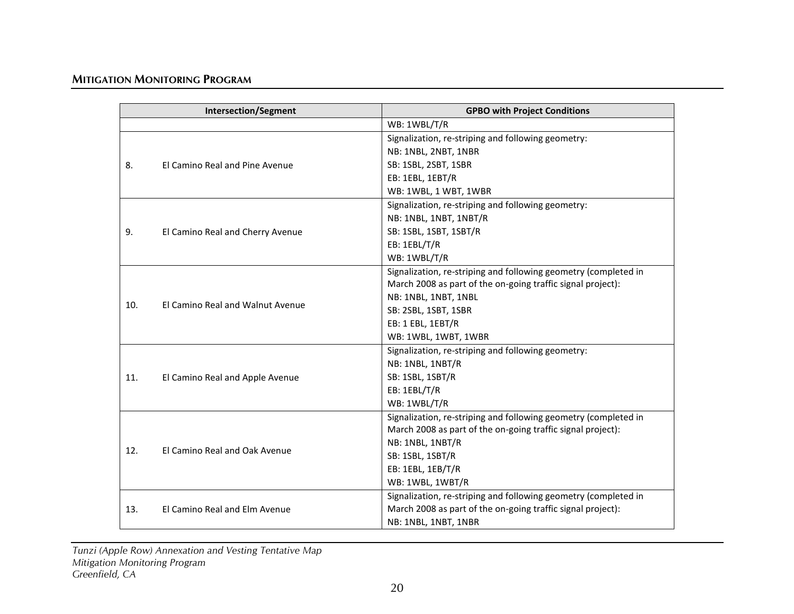|     | <b>Intersection/Segment</b>      | <b>GPBO with Project Conditions</b>                             |
|-----|----------------------------------|-----------------------------------------------------------------|
|     |                                  | WB: 1WBL/T/R                                                    |
|     |                                  | Signalization, re-striping and following geometry:              |
|     |                                  | NB: 1NBL, 2NBT, 1NBR                                            |
| 8.  | El Camino Real and Pine Avenue   | SB: 1SBL, 2SBT, 1SBR                                            |
|     |                                  | EB: 1EBL, 1EBT/R                                                |
|     |                                  | WB: 1WBL, 1 WBT, 1WBR                                           |
|     |                                  | Signalization, re-striping and following geometry:              |
|     |                                  | NB: 1NBL, 1NBT, 1NBT/R                                          |
| 9.  | El Camino Real and Cherry Avenue | SB: 1SBL, 1SBT, 1SBT/R                                          |
|     |                                  | EB: 1EBL/T/R                                                    |
|     |                                  | WB: 1WBL/T/R                                                    |
|     |                                  | Signalization, re-striping and following geometry (completed in |
|     |                                  | March 2008 as part of the on-going traffic signal project):     |
|     | El Camino Real and Walnut Avenue | NB: 1NBL, 1NBT, 1NBL                                            |
| 10. |                                  | SB: 2SBL, 1SBT, 1SBR                                            |
|     |                                  | EB: 1 EBL, 1EBT/R                                               |
|     |                                  | WB: 1WBL, 1WBT, 1WBR                                            |
|     |                                  | Signalization, re-striping and following geometry:              |
|     |                                  | NB: 1NBL, 1NBT/R                                                |
| 11. | El Camino Real and Apple Avenue  | SB: 1SBL, 1SBT/R                                                |
|     |                                  | EB: 1EBL/T/R                                                    |
|     |                                  | WB: 1WBL/T/R                                                    |
|     |                                  | Signalization, re-striping and following geometry (completed in |
|     |                                  | March 2008 as part of the on-going traffic signal project):     |
| 12. | El Camino Real and Oak Avenue    | NB: 1NBL, 1NBT/R                                                |
|     |                                  | SB: 1SBL, 1SBT/R                                                |
|     |                                  | EB: 1EBL, 1EB/T/R                                               |
|     |                                  | WB: 1WBL, 1WBT/R                                                |
|     |                                  | Signalization, re-striping and following geometry (completed in |
| 13. | El Camino Real and Elm Avenue    | March 2008 as part of the on-going traffic signal project):     |
|     |                                  | NB: 1NBL, 1NBT, 1NBR                                            |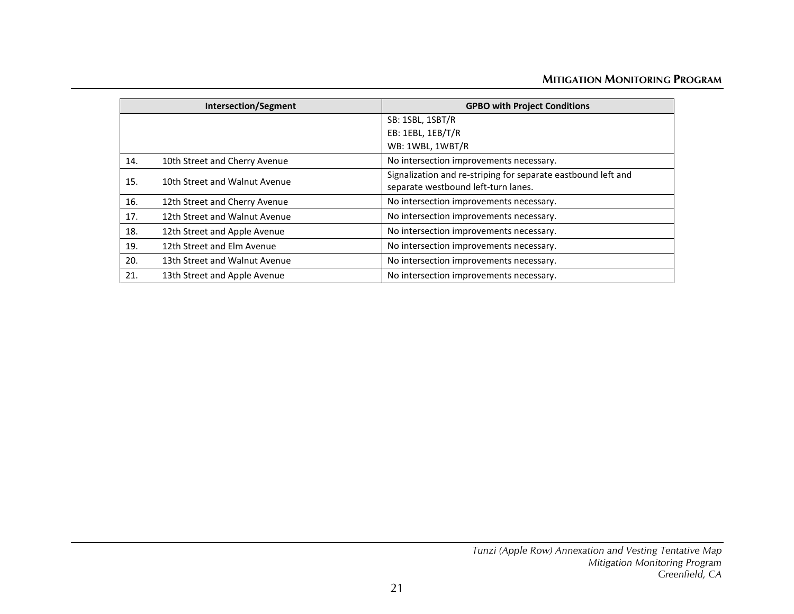|     | <b>Intersection/Segment</b>   | <b>GPBO with Project Conditions</b>                           |
|-----|-------------------------------|---------------------------------------------------------------|
|     |                               | SB: 1SBL, 1SBT/R                                              |
|     |                               | EB: 1EBL, 1EB/T/R                                             |
|     |                               | WB: 1WBL, 1WBT/R                                              |
| 14. | 10th Street and Cherry Avenue | No intersection improvements necessary.                       |
| 15. | 10th Street and Walnut Avenue | Signalization and re-striping for separate eastbound left and |
|     |                               | separate westbound left-turn lanes.                           |
| 16. | 12th Street and Cherry Avenue | No intersection improvements necessary.                       |
| 17. | 12th Street and Walnut Avenue | No intersection improvements necessary.                       |
| 18. | 12th Street and Apple Avenue  | No intersection improvements necessary.                       |
| 19. | 12th Street and Elm Avenue    | No intersection improvements necessary.                       |
| 20. | 13th Street and Walnut Avenue | No intersection improvements necessary.                       |
| 21. | 13th Street and Apple Avenue  | No intersection improvements necessary.                       |